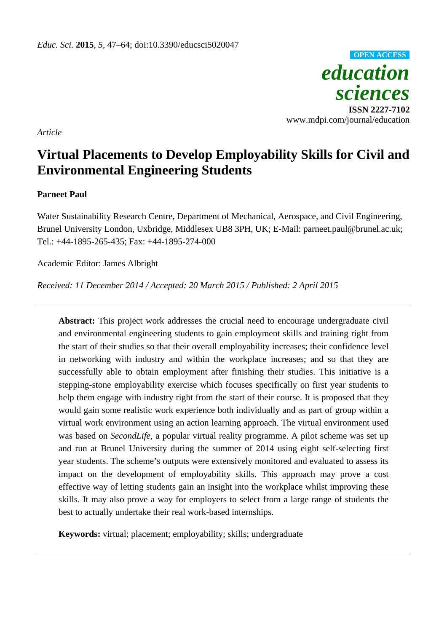

*Article* 

# **Virtual Placements to Develop Employability Skills for Civil and Environmental Engineering Students**

# **Parneet Paul**

Water Sustainability Research Centre, Department of Mechanical, Aerospace, and Civil Engineering, Brunel University London, Uxbridge, Middlesex UB8 3PH, UK; E-Mail: parneet.paul@brunel.ac.uk; Tel.: +44-1895-265-435; Fax: +44-1895-274-000

Academic Editor: James Albright

*Received: 11 December 2014 / Accepted: 20 March 2015 / Published: 2 April 2015* 

**Abstract:** This project work addresses the crucial need to encourage undergraduate civil and environmental engineering students to gain employment skills and training right from the start of their studies so that their overall employability increases; their confidence level in networking with industry and within the workplace increases; and so that they are successfully able to obtain employment after finishing their studies. This initiative is a stepping-stone employability exercise which focuses specifically on first year students to help them engage with industry right from the start of their course. It is proposed that they would gain some realistic work experience both individually and as part of group within a virtual work environment using an action learning approach. The virtual environment used was based on *SecondLife*, a popular virtual reality programme. A pilot scheme was set up and run at Brunel University during the summer of 2014 using eight self-selecting first year students. The scheme's outputs were extensively monitored and evaluated to assess its impact on the development of employability skills. This approach may prove a cost effective way of letting students gain an insight into the workplace whilst improving these skills. It may also prove a way for employers to select from a large range of students the best to actually undertake their real work-based internships.

**Keywords:** virtual; placement; employability; skills; undergraduate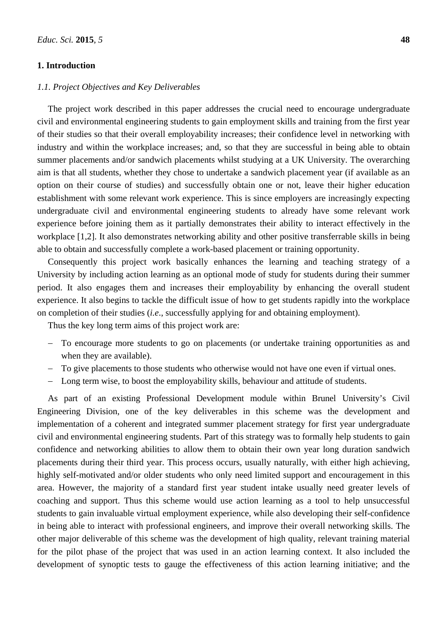# **1. Introduction**

# *1.1. Project Objectives and Key Deliverables*

The project work described in this paper addresses the crucial need to encourage undergraduate civil and environmental engineering students to gain employment skills and training from the first year of their studies so that their overall employability increases; their confidence level in networking with industry and within the workplace increases; and, so that they are successful in being able to obtain summer placements and/or sandwich placements whilst studying at a UK University. The overarching aim is that all students, whether they chose to undertake a sandwich placement year (if available as an option on their course of studies) and successfully obtain one or not, leave their higher education establishment with some relevant work experience. This is since employers are increasingly expecting undergraduate civil and environmental engineering students to already have some relevant work experience before joining them as it partially demonstrates their ability to interact effectively in the workplace [1,2]. It also demonstrates networking ability and other positive transferrable skills in being able to obtain and successfully complete a work-based placement or training opportunity.

Consequently this project work basically enhances the learning and teaching strategy of a University by including action learning as an optional mode of study for students during their summer period. It also engages them and increases their employability by enhancing the overall student experience. It also begins to tackle the difficult issue of how to get students rapidly into the workplace on completion of their studies (*i.e*., successfully applying for and obtaining employment).

Thus the key long term aims of this project work are:

- To encourage more students to go on placements (or undertake training opportunities as and when they are available).
- To give placements to those students who otherwise would not have one even if virtual ones.
- Long term wise, to boost the employability skills, behaviour and attitude of students.

As part of an existing Professional Development module within Brunel University's Civil Engineering Division, one of the key deliverables in this scheme was the development and implementation of a coherent and integrated summer placement strategy for first year undergraduate civil and environmental engineering students. Part of this strategy was to formally help students to gain confidence and networking abilities to allow them to obtain their own year long duration sandwich placements during their third year. This process occurs, usually naturally, with either high achieving, highly self-motivated and/or older students who only need limited support and encouragement in this area. However, the majority of a standard first year student intake usually need greater levels of coaching and support. Thus this scheme would use action learning as a tool to help unsuccessful students to gain invaluable virtual employment experience, while also developing their self-confidence in being able to interact with professional engineers, and improve their overall networking skills. The other major deliverable of this scheme was the development of high quality, relevant training material for the pilot phase of the project that was used in an action learning context. It also included the development of synoptic tests to gauge the effectiveness of this action learning initiative; and the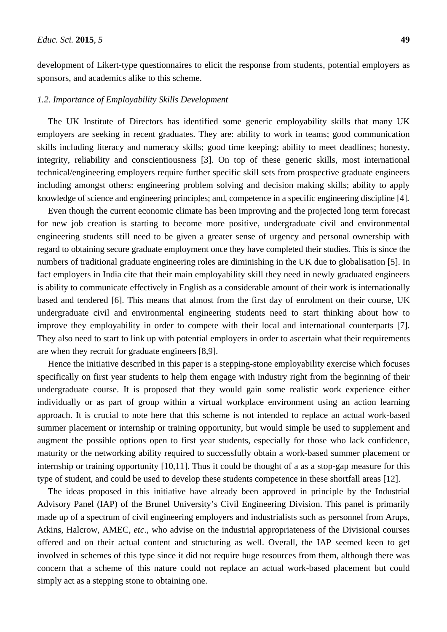development of Likert-type questionnaires to elicit the response from students, potential employers as sponsors, and academics alike to this scheme.

#### *1.2. Importance of Employability Skills Development*

The UK Institute of Directors has identified some generic employability skills that many UK employers are seeking in recent graduates. They are: ability to work in teams; good communication skills including literacy and numeracy skills; good time keeping; ability to meet deadlines; honesty, integrity, reliability and conscientiousness [3]. On top of these generic skills, most international technical/engineering employers require further specific skill sets from prospective graduate engineers including amongst others: engineering problem solving and decision making skills; ability to apply knowledge of science and engineering principles; and, competence in a specific engineering discipline [4].

Even though the current economic climate has been improving and the projected long term forecast for new job creation is starting to become more positive, undergraduate civil and environmental engineering students still need to be given a greater sense of urgency and personal ownership with regard to obtaining secure graduate employment once they have completed their studies. This is since the numbers of traditional graduate engineering roles are diminishing in the UK due to globalisation [5]. In fact employers in India cite that their main employability skill they need in newly graduated engineers is ability to communicate effectively in English as a considerable amount of their work is internationally based and tendered [6]. This means that almost from the first day of enrolment on their course, UK undergraduate civil and environmental engineering students need to start thinking about how to improve they employability in order to compete with their local and international counterparts [7]. They also need to start to link up with potential employers in order to ascertain what their requirements are when they recruit for graduate engineers [8,9].

Hence the initiative described in this paper is a stepping-stone employability exercise which focuses specifically on first year students to help them engage with industry right from the beginning of their undergraduate course. It is proposed that they would gain some realistic work experience either individually or as part of group within a virtual workplace environment using an action learning approach. It is crucial to note here that this scheme is not intended to replace an actual work-based summer placement or internship or training opportunity, but would simple be used to supplement and augment the possible options open to first year students, especially for those who lack confidence, maturity or the networking ability required to successfully obtain a work-based summer placement or internship or training opportunity [10,11]. Thus it could be thought of a as a stop-gap measure for this type of student, and could be used to develop these students competence in these shortfall areas [12].

The ideas proposed in this initiative have already been approved in principle by the Industrial Advisory Panel (IAP) of the Brunel University's Civil Engineering Division. This panel is primarily made up of a spectrum of civil engineering employers and industrialists such as personnel from Arups, Atkins, Halcrow, AMEC, *etc*., who advise on the industrial appropriateness of the Divisional courses offered and on their actual content and structuring as well. Overall, the IAP seemed keen to get involved in schemes of this type since it did not require huge resources from them, although there was concern that a scheme of this nature could not replace an actual work-based placement but could simply act as a stepping stone to obtaining one.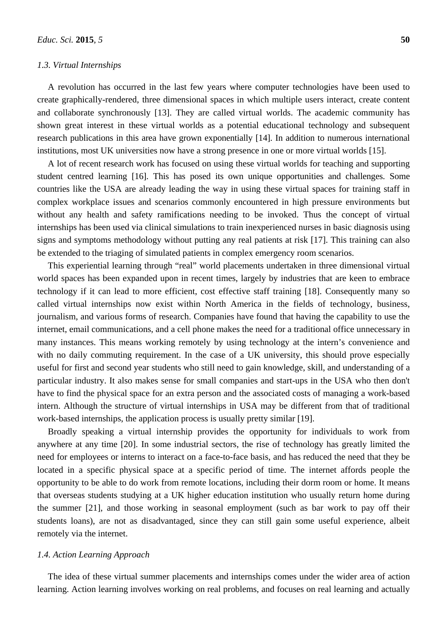# *1.3. Virtual Internships*

A revolution has occurred in the last few years where computer technologies have been used to create graphically-rendered, three dimensional spaces in which multiple users interact, create content and collaborate synchronously [13]. They are called virtual worlds. The academic community has shown great interest in these virtual worlds as a potential educational technology and subsequent research publications in this area have grown exponentially [14]. In addition to numerous international institutions, most UK universities now have a strong presence in one or more virtual worlds [15].

A lot of recent research work has focused on using these virtual worlds for teaching and supporting student centred learning [16]. This has posed its own unique opportunities and challenges. Some countries like the USA are already leading the way in using these virtual spaces for training staff in complex workplace issues and scenarios commonly encountered in high pressure environments but without any health and safety ramifications needing to be invoked. Thus the concept of virtual internships has been used via clinical simulations to train inexperienced nurses in basic diagnosis using signs and symptoms methodology without putting any real patients at risk [17]. This training can also be extended to the triaging of simulated patients in complex emergency room scenarios.

This experiential learning through "real" world placements undertaken in three dimensional virtual world spaces has been expanded upon in recent times, largely by industries that are keen to embrace technology if it can lead to more efficient, cost effective staff training [18]. Consequently many so called virtual internships now exist within North America in the fields of technology, business, journalism, and various forms of research. Companies have found that having the capability to use the internet, email communications, and a cell phone makes the need for a traditional office unnecessary in many instances. This means working remotely by using technology at the intern's convenience and with no daily commuting requirement. In the case of a UK university, this should prove especially useful for first and second year students who still need to gain knowledge, skill, and understanding of a particular industry. It also makes sense for small companies and start-ups in the USA who then don't have to find the physical space for an extra person and the associated costs of managing a work-based intern. Although the structure of virtual internships in USA may be different from that of traditional work-based internships, the application process is usually pretty similar [19].

Broadly speaking a virtual internship provides the opportunity for individuals to work from anywhere at any time [20]. In some industrial sectors, the rise of technology has greatly limited the need for employees or interns to interact on a face-to-face basis, and has reduced the need that they be located in a specific physical space at a specific period of time. The internet affords people the opportunity to be able to do work from remote locations, including their dorm room or home. It means that overseas students studying at a UK higher education institution who usually return home during the summer [21], and those working in seasonal employment (such as bar work to pay off their students loans), are not as disadvantaged, since they can still gain some useful experience, albeit remotely via the internet.

# *1.4. Action Learning Approach*

The idea of these virtual summer placements and internships comes under the wider area of action learning. Action learning involves working on real problems, and focuses on real learning and actually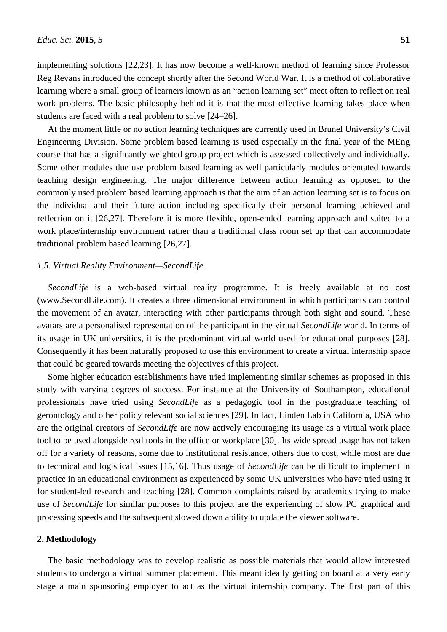implementing solutions [22,23]. It has now become a well-known method of learning since Professor Reg Revans introduced the concept shortly after the Second World War. It is a method of collaborative learning where a small group of learners known as an "action learning set" meet often to reflect on real work problems. The basic philosophy behind it is that the most effective learning takes place when students are faced with a real problem to solve [24–26].

At the moment little or no action learning techniques are currently used in Brunel University's Civil Engineering Division. Some problem based learning is used especially in the final year of the MEng course that has a significantly weighted group project which is assessed collectively and individually. Some other modules due use problem based learning as well particularly modules orientated towards teaching design engineering. The major difference between action learning as opposed to the commonly used problem based learning approach is that the aim of an action learning set is to focus on the individual and their future action including specifically their personal learning achieved and reflection on it [26,27]. Therefore it is more flexible, open-ended learning approach and suited to a work place/internship environment rather than a traditional class room set up that can accommodate traditional problem based learning [26,27].

#### *1.5. Virtual Reality Environment—SecondLife*

*SecondLife* is a web-based virtual reality programme. It is freely available at no cost (www.SecondLife.com). It creates a three dimensional environment in which participants can control the movement of an avatar, interacting with other participants through both sight and sound. These avatars are a personalised representation of the participant in the virtual *SecondLife* world. In terms of its usage in UK universities, it is the predominant virtual world used for educational purposes [28]. Consequently it has been naturally proposed to use this environment to create a virtual internship space that could be geared towards meeting the objectives of this project.

Some higher education establishments have tried implementing similar schemes as proposed in this study with varying degrees of success. For instance at the University of Southampton, educational professionals have tried using *SecondLife* as a pedagogic tool in the postgraduate teaching of gerontology and other policy relevant social sciences [29]. In fact, Linden Lab in California, USA who are the original creators of *SecondLife* are now actively encouraging its usage as a virtual work place tool to be used alongside real tools in the office or workplace [30]. Its wide spread usage has not taken off for a variety of reasons, some due to institutional resistance, others due to cost, while most are due to technical and logistical issues [15,16]. Thus usage of *SecondLife* can be difficult to implement in practice in an educational environment as experienced by some UK universities who have tried using it for student-led research and teaching [28]. Common complaints raised by academics trying to make use of *SecondLife* for similar purposes to this project are the experiencing of slow PC graphical and processing speeds and the subsequent slowed down ability to update the viewer software.

#### **2. Methodology**

The basic methodology was to develop realistic as possible materials that would allow interested students to undergo a virtual summer placement. This meant ideally getting on board at a very early stage a main sponsoring employer to act as the virtual internship company. The first part of this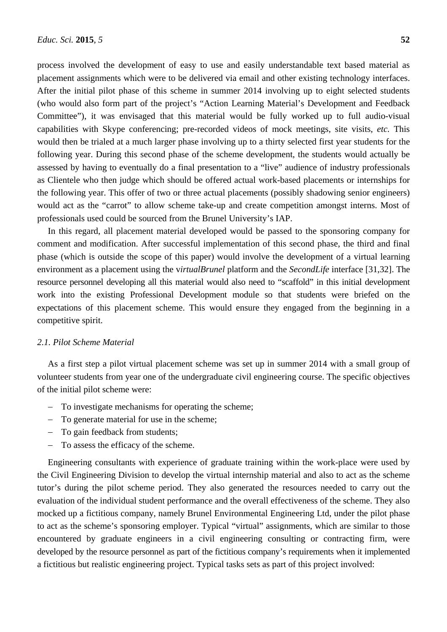process involved the development of easy to use and easily understandable text based material as placement assignments which were to be delivered via email and other existing technology interfaces. After the initial pilot phase of this scheme in summer 2014 involving up to eight selected students (who would also form part of the project's "Action Learning Material's Development and Feedback Committee"), it was envisaged that this material would be fully worked up to full audio-visual capabilities with Skype conferencing; pre-recorded videos of mock meetings, site visits, *etc.* This would then be trialed at a much larger phase involving up to a thirty selected first year students for the following year. During this second phase of the scheme development, the students would actually be assessed by having to eventually do a final presentation to a "live" audience of industry professionals as Clientele who then judge which should be offered actual work-based placements or internships for the following year. This offer of two or three actual placements (possibly shadowing senior engineers) would act as the "carrot" to allow scheme take-up and create competition amongst interns. Most of professionals used could be sourced from the Brunel University's IAP.

In this regard, all placement material developed would be passed to the sponsoring company for comment and modification. After successful implementation of this second phase, the third and final phase (which is outside the scope of this paper) would involve the development of a virtual learning environment as a placement using the v*irtualBrunel* platform and the *SecondLife* interface [31,32]. The resource personnel developing all this material would also need to "scaffold" in this initial development work into the existing Professional Development module so that students were briefed on the expectations of this placement scheme. This would ensure they engaged from the beginning in a competitive spirit.

# *2.1. Pilot Scheme Material*

As a first step a pilot virtual placement scheme was set up in summer 2014 with a small group of volunteer students from year one of the undergraduate civil engineering course. The specific objectives of the initial pilot scheme were:

- To investigate mechanisms for operating the scheme;
- To generate material for use in the scheme;
- To gain feedback from students:
- To assess the efficacy of the scheme.

Engineering consultants with experience of graduate training within the work-place were used by the Civil Engineering Division to develop the virtual internship material and also to act as the scheme tutor's during the pilot scheme period. They also generated the resources needed to carry out the evaluation of the individual student performance and the overall effectiveness of the scheme. They also mocked up a fictitious company, namely Brunel Environmental Engineering Ltd, under the pilot phase to act as the scheme's sponsoring employer. Typical "virtual" assignments, which are similar to those encountered by graduate engineers in a civil engineering consulting or contracting firm, were developed by the resource personnel as part of the fictitious company's requirements when it implemented a fictitious but realistic engineering project. Typical tasks sets as part of this project involved: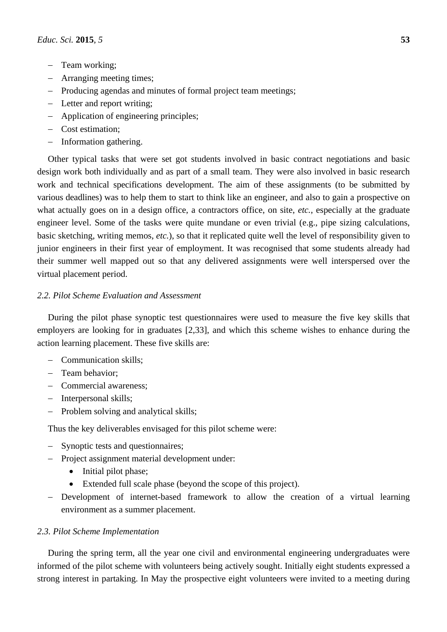- Team working;
- Arranging meeting times;
- Producing agendas and minutes of formal project team meetings;
- Letter and report writing;
- Application of engineering principles;
- Cost estimation;
- Information gathering.

Other typical tasks that were set got students involved in basic contract negotiations and basic design work both individually and as part of a small team. They were also involved in basic research work and technical specifications development. The aim of these assignments (to be submitted by various deadlines) was to help them to start to think like an engineer, and also to gain a prospective on what actually goes on in a design office, a contractors office, on site, *etc.*, especially at the graduate engineer level. Some of the tasks were quite mundane or even trivial (e.g., pipe sizing calculations, basic sketching, writing memos, *etc.*), so that it replicated quite well the level of responsibility given to junior engineers in their first year of employment. It was recognised that some students already had their summer well mapped out so that any delivered assignments were well interspersed over the virtual placement period.

# *2.2. Pilot Scheme Evaluation and Assessment*

During the pilot phase synoptic test questionnaires were used to measure the five key skills that employers are looking for in graduates [2,33], and which this scheme wishes to enhance during the action learning placement. These five skills are:

- Communication skills:
- Team behavior:
- Commercial awareness;
- Interpersonal skills:
- Problem solving and analytical skills;

Thus the key deliverables envisaged for this pilot scheme were:

- Synoptic tests and questionnaires;
- Project assignment material development under:
	- Initial pilot phase;
	- Extended full scale phase (beyond the scope of this project).
- Development of internet-based framework to allow the creation of a virtual learning environment as a summer placement.

# *2.3. Pilot Scheme Implementation*

During the spring term, all the year one civil and environmental engineering undergraduates were informed of the pilot scheme with volunteers being actively sought. Initially eight students expressed a strong interest in partaking. In May the prospective eight volunteers were invited to a meeting during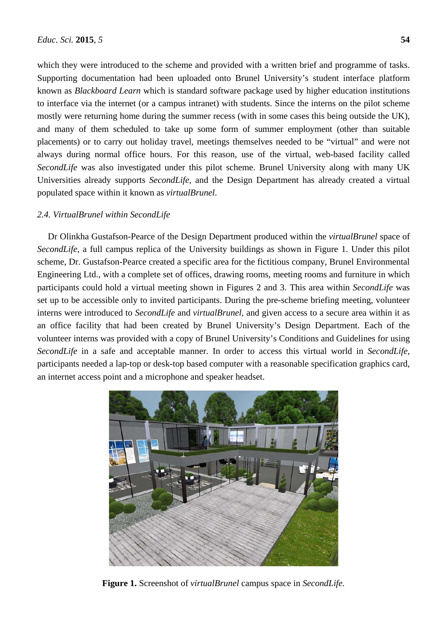which they were introduced to the scheme and provided with a written brief and programme of tasks. Supporting documentation had been uploaded onto Brunel University's student interface platform known as *Blackboard Learn* which is standard software package used by higher education institutions to interface via the internet (or a campus intranet) with students. Since the interns on the pilot scheme mostly were returning home during the summer recess (with in some cases this being outside the UK), and many of them scheduled to take up some form of summer employment (other than suitable placements) or to carry out holiday travel, meetings themselves needed to be "virtual" and were not always during normal office hours. For this reason, use of the virtual, web-based facility called *SecondLife* was also investigated under this pilot scheme. Brunel University along with many UK Universities already supports *SecondLife*, and the Design Department has already created a virtual populated space within it known as *virtualBrunel*.

# *2.4. VirtualBrunel within SecondLife*

Dr Olinkha Gustafson-Pearce of the Design Department produced within the *virtualBrunel* space of *SecondLife*, a full campus replica of the University buildings as shown in Figure 1. Under this pilot scheme, Dr. Gustafson-Pearce created a specific area for the fictitious company, Brunel Environmental Engineering Ltd., with a complete set of offices, drawing rooms, meeting rooms and furniture in which participants could hold a virtual meeting shown in Figures 2 and 3. This area within *SecondLife* was set up to be accessible only to invited participants. During the pre-scheme briefing meeting, volunteer interns were introduced to *SecondLife* and *virtualBrunel*, and given access to a secure area within it as an office facility that had been created by Brunel University's Design Department. Each of the volunteer interns was provided with a copy of Brunel University's Conditions and Guidelines for using *SecondLife* in a safe and acceptable manner. In order to access this virtual world in *SecondLife*, participants needed a lap-top or desk-top based computer with a reasonable specification graphics card, an internet access point and a microphone and speaker headset.



**Figure 1.** Screenshot of *virtualBrunel* campus space in *SecondLife.*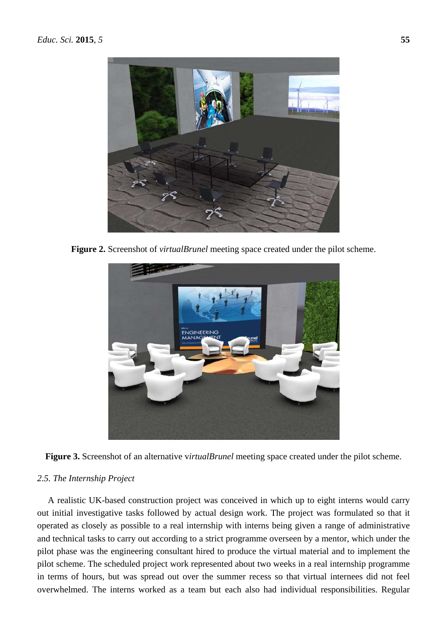

**Figure 2.** Screenshot of *virtualBrunel* meeting space created under the pilot scheme.



**Figure 3.** Screenshot of an alternative v*irtualBrunel* meeting space created under the pilot scheme.

# *2.5. The Internship Project*

A realistic UK-based construction project was conceived in which up to eight interns would carry out initial investigative tasks followed by actual design work. The project was formulated so that it operated as closely as possible to a real internship with interns being given a range of administrative and technical tasks to carry out according to a strict programme overseen by a mentor, which under the pilot phase was the engineering consultant hired to produce the virtual material and to implement the pilot scheme. The scheduled project work represented about two weeks in a real internship programme in terms of hours, but was spread out over the summer recess so that virtual internees did not feel overwhelmed. The interns worked as a team but each also had individual responsibilities. Regular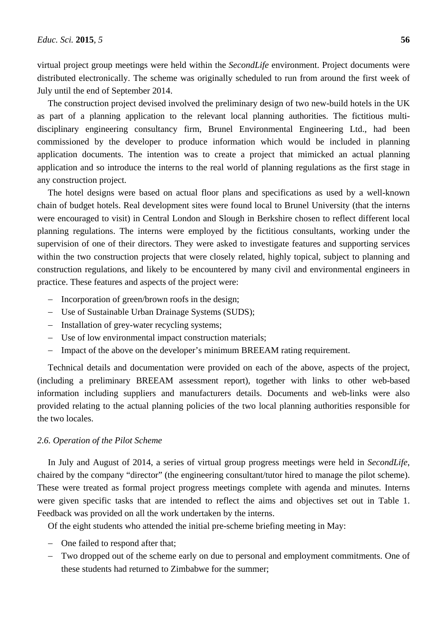virtual project group meetings were held within the *SecondLife* environment. Project documents were distributed electronically. The scheme was originally scheduled to run from around the first week of July until the end of September 2014.

The construction project devised involved the preliminary design of two new-build hotels in the UK as part of a planning application to the relevant local planning authorities. The fictitious multidisciplinary engineering consultancy firm, Brunel Environmental Engineering Ltd., had been commissioned by the developer to produce information which would be included in planning application documents. The intention was to create a project that mimicked an actual planning application and so introduce the interns to the real world of planning regulations as the first stage in any construction project.

The hotel designs were based on actual floor plans and specifications as used by a well-known chain of budget hotels. Real development sites were found local to Brunel University (that the interns were encouraged to visit) in Central London and Slough in Berkshire chosen to reflect different local planning regulations. The interns were employed by the fictitious consultants, working under the supervision of one of their directors. They were asked to investigate features and supporting services within the two construction projects that were closely related, highly topical, subject to planning and construction regulations, and likely to be encountered by many civil and environmental engineers in practice. These features and aspects of the project were:

- Incorporation of green/brown roofs in the design;
- Use of Sustainable Urban Drainage Systems (SUDS);
- Installation of grey-water recycling systems;
- Use of low environmental impact construction materials;
- Impact of the above on the developer's minimum BREEAM rating requirement.

Technical details and documentation were provided on each of the above, aspects of the project, (including a preliminary BREEAM assessment report), together with links to other web-based information including suppliers and manufacturers details. Documents and web-links were also provided relating to the actual planning policies of the two local planning authorities responsible for the two locales.

#### *2.6. Operation of the Pilot Scheme*

In July and August of 2014, a series of virtual group progress meetings were held in *SecondLife*, chaired by the company "director" (the engineering consultant/tutor hired to manage the pilot scheme). These were treated as formal project progress meetings complete with agenda and minutes. Interns were given specific tasks that are intended to reflect the aims and objectives set out in Table 1. Feedback was provided on all the work undertaken by the interns.

Of the eight students who attended the initial pre-scheme briefing meeting in May:

- One failed to respond after that;
- Two dropped out of the scheme early on due to personal and employment commitments. One of these students had returned to Zimbabwe for the summer;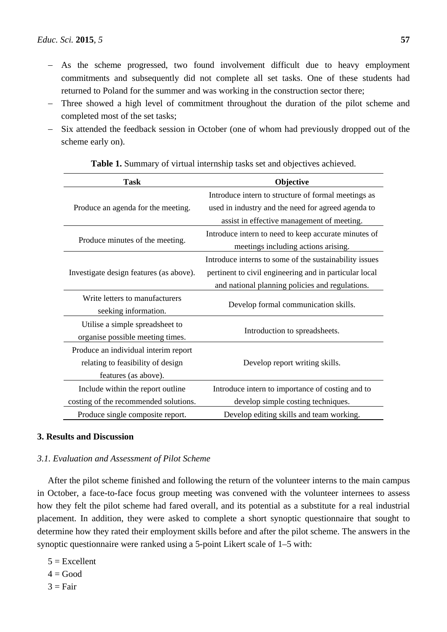- As the scheme progressed, two found involvement difficult due to heavy employment commitments and subsequently did not complete all set tasks. One of these students had returned to Poland for the summer and was working in the construction sector there;
- Three showed a high level of commitment throughout the duration of the pilot scheme and completed most of the set tasks;
- Six attended the feedback session in October (one of whom had previously dropped out of the scheme early on).

| <b>Task</b>                             | Objective                                              |  |  |  |
|-----------------------------------------|--------------------------------------------------------|--|--|--|
|                                         | Introduce intern to structure of formal meetings as    |  |  |  |
| Produce an agenda for the meeting.      | used in industry and the need for agreed agenda to     |  |  |  |
|                                         | assist in effective management of meeting.             |  |  |  |
|                                         | Introduce intern to need to keep accurate minutes of   |  |  |  |
| Produce minutes of the meeting.         | meetings including actions arising.                    |  |  |  |
|                                         | Introduce interns to some of the sustainability issues |  |  |  |
| Investigate design features (as above). | pertinent to civil engineering and in particular local |  |  |  |
|                                         | and national planning policies and regulations.        |  |  |  |
| Write letters to manufacturers          | Develop formal communication skills.                   |  |  |  |
| seeking information.                    |                                                        |  |  |  |
| Utilise a simple spreadsheet to         | Introduction to spreadsheets.                          |  |  |  |
| organise possible meeting times.        |                                                        |  |  |  |
| Produce an individual interim report    |                                                        |  |  |  |
| relating to feasibility of design       | Develop report writing skills.                         |  |  |  |
| features (as above).                    |                                                        |  |  |  |
| Include within the report outline       | Introduce intern to importance of costing and to       |  |  |  |
| costing of the recommended solutions.   | develop simple costing techniques.                     |  |  |  |
| Produce single composite report.        | Develop editing skills and team working.               |  |  |  |

|  | Table 1. Summary of virtual internship tasks set and objectives achieved. |  |  |  |  |
|--|---------------------------------------------------------------------------|--|--|--|--|
|  |                                                                           |  |  |  |  |

# **3. Results and Discussion**

# *3.1. Evaluation and Assessment of Pilot Scheme*

After the pilot scheme finished and following the return of the volunteer interns to the main campus in October, a face-to-face focus group meeting was convened with the volunteer internees to assess how they felt the pilot scheme had fared overall, and its potential as a substitute for a real industrial placement. In addition, they were asked to complete a short synoptic questionnaire that sought to determine how they rated their employment skills before and after the pilot scheme. The answers in the synoptic questionnaire were ranked using a 5-point Likert scale of 1–5 with:

- $5 =$ Excellent
- $4 \equiv$  Good
- $3 = Fair$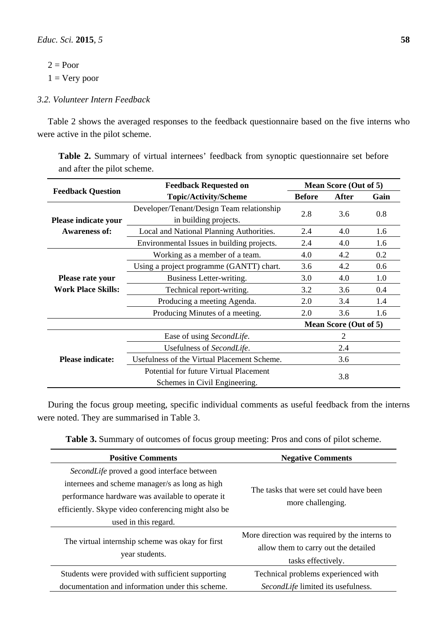$2 = Poor$  $1 =$  Very poor

# *3.2. Volunteer Intern Feedback*

Table 2 shows the averaged responses to the feedback questionnaire based on the five interns who were active in the pilot scheme.

**Table 2.** Summary of virtual internees' feedback from synoptic questionnaire set before and after the pilot scheme.

|                                        | <b>Feedback Requested on</b>                | Mean Score (Out of 5) |                       |      |  |
|----------------------------------------|---------------------------------------------|-----------------------|-----------------------|------|--|
| <b>Feedback Question</b>               | <b>Topic/Activity/Scheme</b>                | <b>Before</b>         | After                 | Gain |  |
|                                        | Developer/Tenant/Design Team relationship   | 2.8                   | 3.6                   | 0.8  |  |
| Please indicate your                   | in building projects.                       |                       |                       |      |  |
| <b>Awareness of:</b>                   | Local and National Planning Authorities.    | 2.4                   | 4.0                   | 1.6  |  |
|                                        | Environmental Issues in building projects.  | 2.4                   | 4.0                   | 1.6  |  |
|                                        | Working as a member of a team.              | 4.0                   | 4.2                   | 0.2  |  |
|                                        | Using a project programme (GANTT) chart.    | 3.6                   | 4.2                   | 0.6  |  |
| Please rate your                       | Business Letter-writing.                    | 3.0                   | 4.0                   | 1.0  |  |
| <b>Work Place Skills:</b>              | Technical report-writing.                   | 3.2                   | 3.6                   | 0.4  |  |
|                                        | Producing a meeting Agenda.                 | 2.0                   | 3.4                   | 1.4  |  |
|                                        | Producing Minutes of a meeting.             | 2.0                   | 3.6                   | 1.6  |  |
|                                        |                                             |                       | Mean Score (Out of 5) |      |  |
|                                        | Ease of using SecondLife.                   |                       | 2                     |      |  |
|                                        | Usefulness of SecondLife.                   | 2.4                   |                       |      |  |
| <b>Please indicate:</b>                | Usefulness of the Virtual Placement Scheme. | 3.6                   |                       |      |  |
| Potential for future Virtual Placement |                                             | 3.8                   |                       |      |  |
|                                        | Schemes in Civil Engineering.               |                       |                       |      |  |

During the focus group meeting, specific individual comments as useful feedback from the interns were noted. They are summarised in Table 3.

|  |  |  |  | Table 3. Summary of outcomes of focus group meeting: Pros and cons of pilot scheme. |
|--|--|--|--|-------------------------------------------------------------------------------------|
|  |  |  |  |                                                                                     |

| <b>Positive Comments</b>                            | <b>Negative Comments</b>                      |  |  |  |
|-----------------------------------------------------|-----------------------------------------------|--|--|--|
| SecondLife proved a good interface between          |                                               |  |  |  |
| internees and scheme manager/s as long as high      |                                               |  |  |  |
| performance hardware was available to operate it    | The tasks that were set could have been       |  |  |  |
| efficiently. Skype video conferencing might also be | more challenging.                             |  |  |  |
| used in this regard.                                |                                               |  |  |  |
|                                                     | More direction was required by the interns to |  |  |  |
| The virtual internship scheme was okay for first    | allow them to carry out the detailed          |  |  |  |
| year students.                                      | tasks effectively.                            |  |  |  |
| Students were provided with sufficient supporting   | Technical problems experienced with           |  |  |  |
| documentation and information under this scheme.    | SecondLife limited its usefulness.            |  |  |  |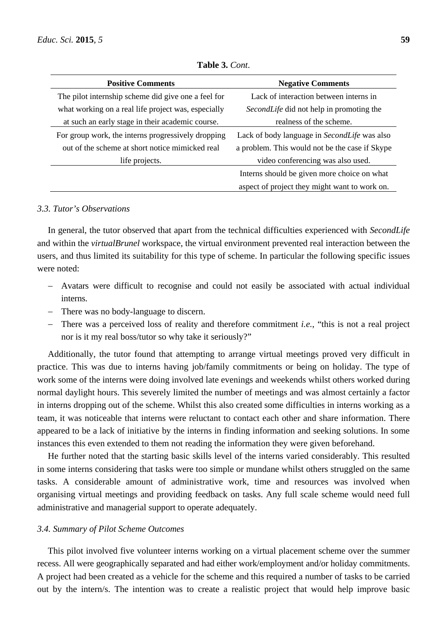| <b>Positive Comments</b>                            | <b>Negative Comments</b>                       |  |  |  |
|-----------------------------------------------------|------------------------------------------------|--|--|--|
| The pilot internship scheme did give one a feel for | Lack of interaction between interns in         |  |  |  |
| what working on a real life project was, especially | SecondLife did not help in promoting the       |  |  |  |
| at such an early stage in their academic course.    | realness of the scheme.                        |  |  |  |
| For group work, the interns progressively dropping  | Lack of body language in SecondLife was also   |  |  |  |
| out of the scheme at short notice mimicked real     | a problem. This would not be the case if Skype |  |  |  |
| life projects.                                      | video conferencing was also used.              |  |  |  |
|                                                     | Interns should be given more choice on what    |  |  |  |
|                                                     | aspect of project they might want to work on.  |  |  |  |

**Table 3.** *Cont*.

#### *3.3. Tutor's Observations*

In general, the tutor observed that apart from the technical difficulties experienced with *SecondLife*  and within the *virtualBrunel* workspace, the virtual environment prevented real interaction between the users, and thus limited its suitability for this type of scheme. In particular the following specific issues were noted:

- Avatars were difficult to recognise and could not easily be associated with actual individual interns.
- There was no body-language to discern.
- There was a perceived loss of reality and therefore commitment *i.e.*, "this is not a real project nor is it my real boss/tutor so why take it seriously?"

Additionally, the tutor found that attempting to arrange virtual meetings proved very difficult in practice. This was due to interns having job/family commitments or being on holiday. The type of work some of the interns were doing involved late evenings and weekends whilst others worked during normal daylight hours. This severely limited the number of meetings and was almost certainly a factor in interns dropping out of the scheme. Whilst this also created some difficulties in interns working as a team, it was noticeable that interns were reluctant to contact each other and share information. There appeared to be a lack of initiative by the interns in finding information and seeking solutions. In some instances this even extended to them not reading the information they were given beforehand.

He further noted that the starting basic skills level of the interns varied considerably. This resulted in some interns considering that tasks were too simple or mundane whilst others struggled on the same tasks. A considerable amount of administrative work, time and resources was involved when organising virtual meetings and providing feedback on tasks. Any full scale scheme would need full administrative and managerial support to operate adequately.

# *3.4. Summary of Pilot Scheme Outcomes*

This pilot involved five volunteer interns working on a virtual placement scheme over the summer recess. All were geographically separated and had either work/employment and/or holiday commitments. A project had been created as a vehicle for the scheme and this required a number of tasks to be carried out by the intern/s. The intention was to create a realistic project that would help improve basic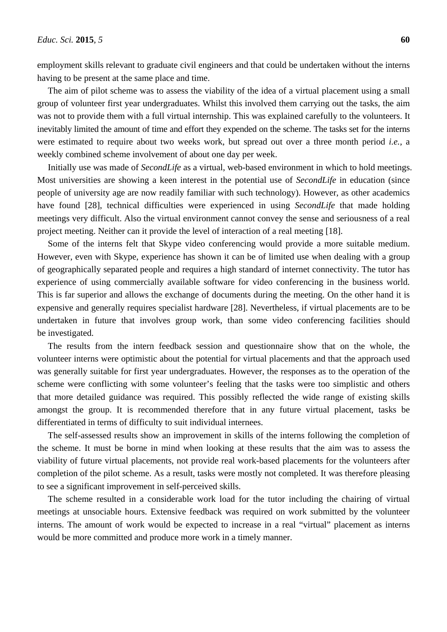employment skills relevant to graduate civil engineers and that could be undertaken without the interns having to be present at the same place and time.

The aim of pilot scheme was to assess the viability of the idea of a virtual placement using a small group of volunteer first year undergraduates. Whilst this involved them carrying out the tasks, the aim was not to provide them with a full virtual internship. This was explained carefully to the volunteers. It inevitably limited the amount of time and effort they expended on the scheme. The tasks set for the interns were estimated to require about two weeks work, but spread out over a three month period *i.e.*, a weekly combined scheme involvement of about one day per week.

Initially use was made of *SecondLife* as a virtual, web-based environment in which to hold meetings. Most universities are showing a keen interest in the potential use of *SecondLife* in education (since people of university age are now readily familiar with such technology). However, as other academics have found [28], technical difficulties were experienced in using *SecondLife* that made holding meetings very difficult. Also the virtual environment cannot convey the sense and seriousness of a real project meeting. Neither can it provide the level of interaction of a real meeting [18].

Some of the interns felt that Skype video conferencing would provide a more suitable medium. However, even with Skype, experience has shown it can be of limited use when dealing with a group of geographically separated people and requires a high standard of internet connectivity. The tutor has experience of using commercially available software for video conferencing in the business world. This is far superior and allows the exchange of documents during the meeting. On the other hand it is expensive and generally requires specialist hardware [28]. Nevertheless, if virtual placements are to be undertaken in future that involves group work, than some video conferencing facilities should be investigated.

The results from the intern feedback session and questionnaire show that on the whole, the volunteer interns were optimistic about the potential for virtual placements and that the approach used was generally suitable for first year undergraduates. However, the responses as to the operation of the scheme were conflicting with some volunteer's feeling that the tasks were too simplistic and others that more detailed guidance was required. This possibly reflected the wide range of existing skills amongst the group. It is recommended therefore that in any future virtual placement, tasks be differentiated in terms of difficulty to suit individual internees.

The self-assessed results show an improvement in skills of the interns following the completion of the scheme. It must be borne in mind when looking at these results that the aim was to assess the viability of future virtual placements, not provide real work-based placements for the volunteers after completion of the pilot scheme. As a result, tasks were mostly not completed. It was therefore pleasing to see a significant improvement in self-perceived skills.

The scheme resulted in a considerable work load for the tutor including the chairing of virtual meetings at unsociable hours. Extensive feedback was required on work submitted by the volunteer interns. The amount of work would be expected to increase in a real "virtual" placement as interns would be more committed and produce more work in a timely manner.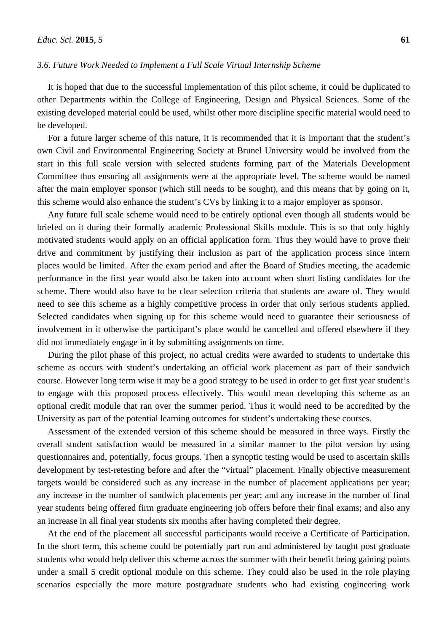## *3.6. Future Work Needed to Implement a Full Scale Virtual Internship Scheme*

It is hoped that due to the successful implementation of this pilot scheme, it could be duplicated to other Departments within the College of Engineering, Design and Physical Sciences. Some of the existing developed material could be used, whilst other more discipline specific material would need to be developed.

For a future larger scheme of this nature, it is recommended that it is important that the student's own Civil and Environmental Engineering Society at Brunel University would be involved from the start in this full scale version with selected students forming part of the Materials Development Committee thus ensuring all assignments were at the appropriate level. The scheme would be named after the main employer sponsor (which still needs to be sought), and this means that by going on it, this scheme would also enhance the student's CVs by linking it to a major employer as sponsor.

Any future full scale scheme would need to be entirely optional even though all students would be briefed on it during their formally academic Professional Skills module. This is so that only highly motivated students would apply on an official application form. Thus they would have to prove their drive and commitment by justifying their inclusion as part of the application process since intern places would be limited. After the exam period and after the Board of Studies meeting, the academic performance in the first year would also be taken into account when short listing candidates for the scheme. There would also have to be clear selection criteria that students are aware of. They would need to see this scheme as a highly competitive process in order that only serious students applied. Selected candidates when signing up for this scheme would need to guarantee their seriousness of involvement in it otherwise the participant's place would be cancelled and offered elsewhere if they did not immediately engage in it by submitting assignments on time.

During the pilot phase of this project, no actual credits were awarded to students to undertake this scheme as occurs with student's undertaking an official work placement as part of their sandwich course. However long term wise it may be a good strategy to be used in order to get first year student's to engage with this proposed process effectively. This would mean developing this scheme as an optional credit module that ran over the summer period. Thus it would need to be accredited by the University as part of the potential learning outcomes for student's undertaking these courses.

Assessment of the extended version of this scheme should be measured in three ways. Firstly the overall student satisfaction would be measured in a similar manner to the pilot version by using questionnaires and, potentially, focus groups. Then a synoptic testing would be used to ascertain skills development by test-retesting before and after the "virtual" placement. Finally objective measurement targets would be considered such as any increase in the number of placement applications per year; any increase in the number of sandwich placements per year; and any increase in the number of final year students being offered firm graduate engineering job offers before their final exams; and also any an increase in all final year students six months after having completed their degree.

At the end of the placement all successful participants would receive a Certificate of Participation. In the short term, this scheme could be potentially part run and administered by taught post graduate students who would help deliver this scheme across the summer with their benefit being gaining points under a small 5 credit optional module on this scheme. They could also be used in the role playing scenarios especially the more mature postgraduate students who had existing engineering work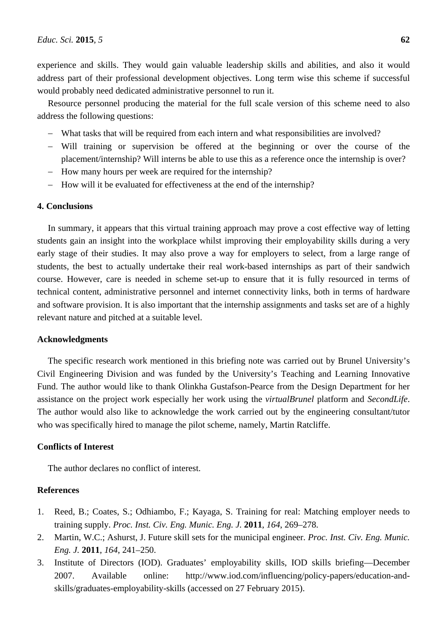experience and skills. They would gain valuable leadership skills and abilities, and also it would address part of their professional development objectives. Long term wise this scheme if successful would probably need dedicated administrative personnel to run it.

Resource personnel producing the material for the full scale version of this scheme need to also address the following questions:

- What tasks that will be required from each intern and what responsibilities are involved?
- Will training or supervision be offered at the beginning or over the course of the placement/internship? Will interns be able to use this as a reference once the internship is over?
- How many hours per week are required for the internship?
- How will it be evaluated for effectiveness at the end of the internship?

# **4. Conclusions**

In summary, it appears that this virtual training approach may prove a cost effective way of letting students gain an insight into the workplace whilst improving their employability skills during a very early stage of their studies. It may also prove a way for employers to select, from a large range of students, the best to actually undertake their real work-based internships as part of their sandwich course. However, care is needed in scheme set-up to ensure that it is fully resourced in terms of technical content, administrative personnel and internet connectivity links, both in terms of hardware and software provision. It is also important that the internship assignments and tasks set are of a highly relevant nature and pitched at a suitable level.

#### **Acknowledgments**

The specific research work mentioned in this briefing note was carried out by Brunel University's Civil Engineering Division and was funded by the University's Teaching and Learning Innovative Fund. The author would like to thank Olinkha Gustafson-Pearce from the Design Department for her assistance on the project work especially her work using the *virtualBrunel* platform and *SecondLife*. The author would also like to acknowledge the work carried out by the engineering consultant/tutor who was specifically hired to manage the pilot scheme, namely, Martin Ratcliffe.

#### **Conflicts of Interest**

The author declares no conflict of interest.

## **References**

- 1. Reed, B.; Coates, S.; Odhiambo, F.; Kayaga, S. Training for real: Matching employer needs to training supply. *Proc. Inst. Civ. Eng. Munic. Eng. J.* **2011**, *164*, 269–278.
- 2. Martin, W.C.; Ashurst, J. Future skill sets for the municipal engineer. *Proc. Inst. Civ. Eng. Munic. Eng. J.* **2011**, *164*, 241–250.
- 3. Institute of Directors (IOD). Graduates' employability skills, IOD skills briefing—December 2007. Available online: http://www.iod.com/influencing/policy-papers/education-andskills/graduates-employability-skills (accessed on 27 February 2015).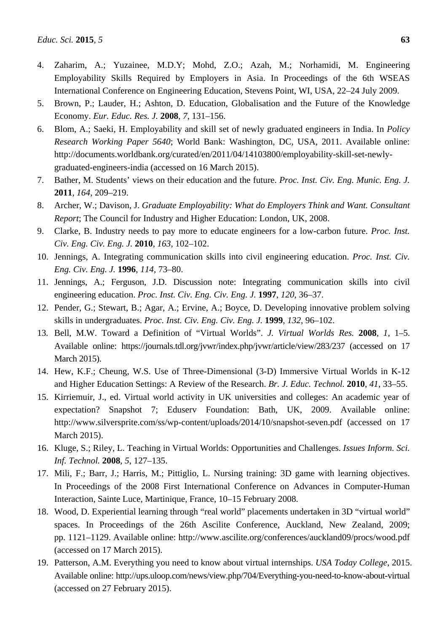- 4. Zaharim, A.; Yuzainee, M.D.Y; Mohd, Z.O.; Azah, M.; Norhamidi, M. Engineering Employability Skills Required by Employers in Asia. In Proceedings of the 6th WSEAS International Conference on Engineering Education, Stevens Point, WI, USA, 22–24 July 2009.
- 5. Brown, P.; Lauder, H.; Ashton, D. Education, Globalisation and the Future of the Knowledge Economy. *Eur. Educ. Res. J.* **2008**, *7*, 131–156.
- 6. Blom, A.; Saeki, H. Employability and skill set of newly graduated engineers in India. In *Policy Research Working Paper 5640*; World Bank: Washington, DC, USA, 2011. Available online: http://documents.worldbank.org/curated/en/2011/04/14103800/employability-skill-set-newlygraduated-engineers-india (accessed on 16 March 2015).
- 7. Bather, M. Students' views on their education and the future. *Proc. Inst. Civ. Eng. Munic. Eng. J.* **2011**, *164*, 209–219.
- 8. Archer, W.; Davison, J. *Graduate Employability: What do Employers Think and Want. Consultant Report*; The Council for Industry and Higher Education: London, UK, 2008.
- 9. Clarke, B. Industry needs to pay more to educate engineers for a low-carbon future. *Proc. Inst. Civ. Eng. Civ. Eng. J.* **2010**, *163*, 102–102.
- 10. Jennings, A. Integrating communication skills into civil engineering education. *Proc. Inst. Civ. Eng. Civ. Eng. J.* **1996**, *114*, 73–80.
- 11. Jennings, A.; Ferguson, J.D. Discussion note: Integrating communication skills into civil engineering education. *Proc. Inst. Civ. Eng. Civ. Eng. J.* **1997**, *120*, 36–37.
- 12. Pender, G.; Stewart, B.; Agar, A.; Ervine, A.; Boyce, D. Developing innovative problem solving skills in undergraduates. *Proc. Inst. Civ. Eng. Civ. Eng. J.* **1999**, *132*, 96–102.
- 13. Bell, M.W. Toward a Definition of "Virtual Worlds". *J. Virtual Worlds Res.* **2008**, *1*, 1–5. Available online: https://journals.tdl.org/jvwr/index.php/jvwr/article/view/283/237 (accessed on 17 March 2015).
- 14. Hew, K.F.; Cheung, W.S. Use of Three-Dimensional (3-D) Immersive Virtual Worlds in K-12 and Higher Education Settings: A Review of the Research. *Br. J. Educ. Technol.* **2010**, *41*, 33–55.
- 15. Kirriemuir, J., ed. Virtual world activity in UK universities and colleges: An academic year of expectation? Snapshot 7; Eduserv Foundation: Bath, UK, 2009. Available online: http://www.silversprite.com/ss/wp-content/uploads/2014/10/snapshot-seven.pdf (accessed on 17 March 2015).
- 16. Kluge, S.; Riley, L. Teaching in Virtual Worlds: Opportunities and Challenges. *Issues Inform. Sci. Inf. Technol.* **2008**, *5*, 127–135.
- 17. Mili, F.; Barr, J.; Harris, M.; Pittiglio, L. Nursing training: 3D game with learning objectives. In Proceedings of the 2008 First International Conference on Advances in Computer-Human Interaction, Sainte Luce, Martinique, France, 10–15 February 2008.
- 18. Wood, D. Experiential learning through "real world" placements undertaken in 3D "virtual world" spaces. In Proceedings of the 26th Ascilite Conference, Auckland, New Zealand, 2009; pp. 1121–1129. Available online: http://www.ascilite.org/conferences/auckland09/procs/wood.pdf (accessed on 17 March 2015).
- 19. Patterson, A.M. Everything you need to know about virtual internships. *USA Today College*, 2015. Available online: http://ups.uloop.com/news/view.php/704/Everything-you-need-to-know-about-virtual (accessed on 27 February 2015).